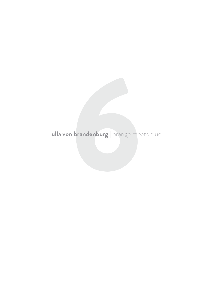**ulla von brandenburg** | orange meets blue<br> **contracts**<br> **defined by the contracts**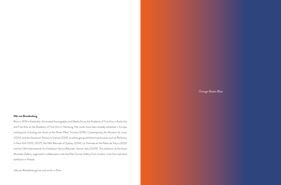# **Ulla von Brandenburg**

Born in 1974 in Karlsruhe, she studied Scenography and Media Art at the Academy of Fine Arts in Karlsruhe and Fine Arts at the Academy of Fine Arts in Hamburg. Her works have been broadly exhibited in Europe and beyond, including solo shows at the Power Plant, Toronto (2016), Contemporary Art Museum St. Louis (2015), and the Secession Pavilion in Vienna (2013), as well as group exhibitions and events such as Performa in New York (2015, 2007), the 19th Biennale of Sydney (2014), La Triennale at the Palais de Tokyo (2012) and the 53rd International Art Exhibition Venice Biennale, Venice, Italy (2009). The exhibition at the Kasia Michalski Gallery, organized in collaboration with the Pilar Corrias Gallery from London, is her first individual exhibition in Poland.

Ulla von Brandenburg lives and works in Paris.

Orange Meets Blue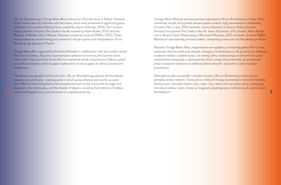Orange Meets Blue *jest pierwszą wystawą indywidualną Ulli von Brandenburg w Polsce. Prace niemieckiej artystki nie są jednak nieznane polskim widzom: były prezentowane w krakowskiej Cricotece (*Nic 2 razy*, 2014, kuratorka: Joanna Zielińska), w Centrum Kultury Zamek w Poznaniu (na wystawie* The Castle in the Air. Seans Wyobraźni*, 2012, kurator: Adam Budak) oraz w Muzeum Sztuki Nowoczesnej w Warszawie (*Wystawa*, 2010, kuratorka: Susanne Pfeffer). Wystawy te uwarunkowały pierwotny odbiór i interpretację twórczości von Brandenburg w Polsce.*

*Wystawa* Orange Meets Blue, *zorganizowana we współpracy z londyńską galerią Pilar Corrias, prezentuje obszerny wybór prac artysyki, ukazujący charakterystyczny dla jej twórczości eklektyzm w doborze mediów i środków wyrazu: od niemego filmu zrealizowanego na taśmie 8 mm, przez ornamentalne kompozycje z wykorzystaniem tkanin, wstęg lub patchworków, po wielobarwne prace na papierze (wykonane na delikatnej bibule akwarele i wycinanki) a także instalacje przestrzenne.*

Ulla von Brandenburg's *Orange Meets Blue* is the artist's first solo show in Poland. However, Polish viewers are not unfamiliar with her works, which were presented at significant group exhibitions in Cricoteka (*Nothing Twice* curated by Joanna Zielinska, 2014), the Centrum Kultury Zamek in Poznan (*The Castle in the Air* curated by Adam Budak, 2012) and the Museum of Modern Art in Warsaw (*Wystawa* curated by Susanne Pfeffer, 2010). These shows created an initial framing and context for the perception and interpretation of von Brandenburg's practice in Poland.

*Wykształcona jako scenografka i artystka wizualna, Ulla von Brandenburg zaciera granice pomiędzy sztuką a teatrem. Tworzy prace, w których motywy zaczerpnięte z różnorakich okresów historycznych i ikonosfer (świata cyrku, magii i iluzji, teatru cieni czy teatru rzeczy, nawiązujące do tradycji* tableau vivant *i konwencji* Singspiel*) przeplatają się w nieskończonych, tajemniczych konstelacjach.* **2** *vivant* and *Singspiel*) recur and intertwine in a sophisticated way. **3**

*Orange Meets Blue*, organized by the Kasia Michalski in collaboration with the London-based Pilar Corrias Gallery, features a representative selection of works by the German artist: from a silent black and white 8 mm film to ornamental textile compositions (ribbons, quilts) to colorful and poetic works on paper (watercolors on tissue paper as well as cutouts) and installations.

Trained as a scenographer and visual artist, Ulla von Brandenburg explores the boundaries between art and theater, creating works in which various themes and motifs, sourced from different historical periods and iconospheres (such as the circus with its magic and illusionism, the shadow play, and the theater of objects, as well as the traditions of *tableau*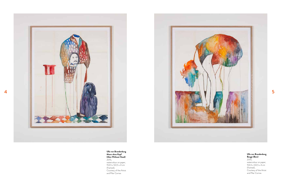

#### **Ulla von Brandenburg Mann ohne Kopf (Man Without Head)** 2015, watercolour on paper, 153,5 x 122,5 x 4 cm (framed), Courtesy of the Artist and Pilar Corrias



# **Ulla von Brandenburg Beuge (Bow)**

2015, watercolour on paper, 153,5 x 122,5 x 4 cm (framed), Courtesy of the Artist and Pilar Corrias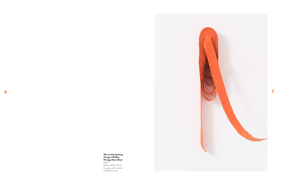**Ulla von Brandenburg Orange trifft Blau (Orange Meets Blue)**  2015, ribbon, 4200 x 8 cm, Courtesy of the Artist and Pilar Corrias



**7**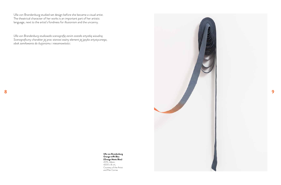*Ulla von Brandenburg studiowała scenografię zanim została artystką wizualną. Scenograficzny charakter jej prac stanowi ważny element jej języka artystycznego, obok zamiłowania do iluzjonizmu i niesamowitości.*

> **Ulla von Brandenburg Orange trifft Blau (Orange Meets Blue)**  2015, ribbon, 4200 x 8 cm, Courtesy of the Artist and Pilar Corrias



Ulla von Brandenburg studied set design before she became a visual artist. The theatrical character of her works is an important part of her artistic language, next to the artist's fondness for illusionism and the uncanny.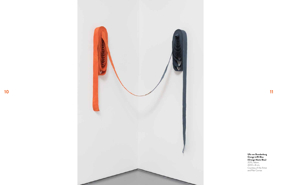**Ulla von Brandenburg Orange trifft Blau (Orange Meets Blue)**  2015, ribbon,

4200 x 8 cm, Courtesy of the Artist and Pilar Corrias

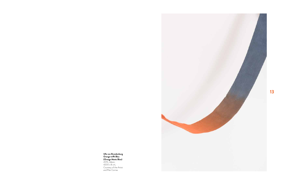**Ulla von Brandenburg Orange trifft Blau (Orange Meets Blue)**  2015, ribbon, 4200 x 8 cm, Courtesy of the Artist and Pilar Corrias



**13**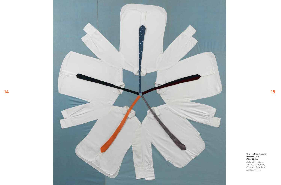## **Ulla von Brandenburg Hemden Quilt (Shirt Quilt)**

2012-2014, fabric, 240 x 220 x 3,5 cm, Courtesy of the Artist and Pilar Corrias



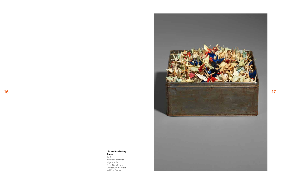## **Ulla von Brandenburg**

**Scatola** 2011, metal box filled with origami birds 9,4 x 23 x 21,4 cm, Courtesy of the Artist and Pilar Corrias

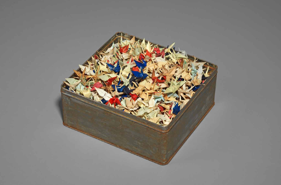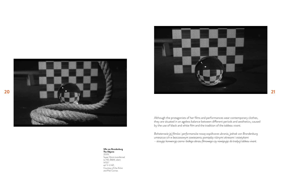*Bohaterowie jej filmów i performansów noszą współczsne ubrania, jednak von Brandenburg umieszcza ich w bezczasowym zawieszeniu pomiędzy różnymi okresami i estetykami – stosując konwencję czarno-białego obrazu filmowego czy nawiązując do tradycji tableau vivant.*

# **Ulla von Brandenburg**

**The Objects** 2009, Super 16mm transferred to HD, B&W, silent 14'55" ed. 5 +2 AP, Courtesy of the Artist and Pilar Corrias





Although the protagonists of her films and performances wear contemporary clothes, they are situated in an ageless balance between different periods and aesthetics, caused by the use of black and white film and the tradition of the *tableau vivant* .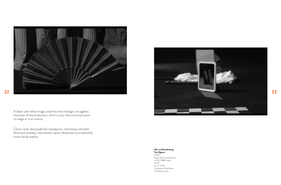A black-and-white image underlines the nostalgic and ageless character of the production, which is very often reconstructed on stage or in an interior.



*Czarno-biały obraz podkreśla nostalgiczny i bezczasowy charakter filmowych produkcji, które bardzo często odtwarzane są na teatralnej scenie lub we wnętrzu.* 



**Ulla von Brandenburg The Objects** 2009, Super 16mm transferred to HD, B&W, silent 14'55" ed. 5 +2 AP, Courtesy of the Artist and Pilar Corrias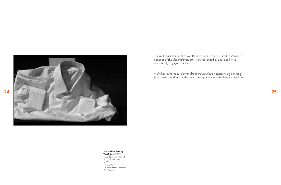## **Ulla von Brandenburg**

**The Objects,** 2009 Super 16mm transferred to HD, B&W, silent 14'55" ed. 5 +2 AP, Courtesy of the Artist and Pilar Corrias

*Multidyscyplinarna sztuka von Brandenburg bliska wagnerowskiej koncepcji*  Gesamkunstwerk *ma rzadką zaletę emocjonalnego oddziaływania na widza.*



The multidisciplinary art of von Brandenburg, closely related to Wagner's concept of the *Gesamtkunstwerk*, is characterized by a rare ability to emotionally engage the viewer.

**25**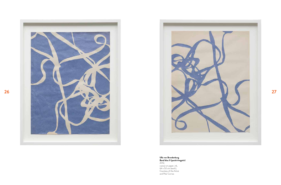**Ulla von Brandenburg Band blau II (positiv/negativ)** 2012, cutout on paper, ink, 64 x 50 cm (each), Courtesy of the Artist and Pilar Corrias



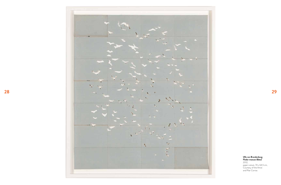# **Ulla von Brandenburg Fleder maeuse (Bats)**

2012, paper cutout, 74 x 64,5 cm, Courtesy of the Artist and Pilar Corrias

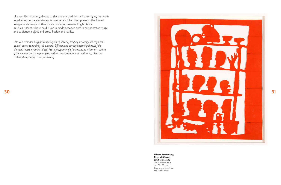**Ulla von Brandenburg Regal mit Masken (Shelf with Mask)** 2012, paper cutout, ink, 75 x 63 cm, Courtesy of the Artist and Pilar Corrias





Ulla von Brandenburg alludes to this ancient tradition while arranging her works in galleries, on theater stages, or in open air. She often presents the filmed images as elements of theatrical installations resembling fantastic *mise-en-scènes*, where no division is made between actor and spectator, stage and audience, object and prop, illusion and reality.

*Ulla von Brandenburg odwołuje się do tej dawnej tradycji używając do tego celu galerii, sceny teatralnej lub pleneru. Sfilmowane obrazy chętnie pokazuje jako element teatralnych instalacji, które przypominają fantastyczne* mise-en-scène*, gdzie nie ma rozdziału pomiędzy widzem i aktorem, sceną i widownią, obiektem i rekwizytem, iluzją i rzeczywistością.*

**31**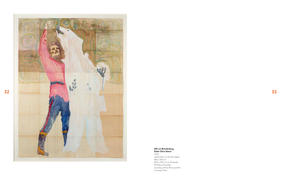#### **Ulla von Brandenburg Eisbär (Ours blanc)**

2013, watercolour on ancient paper, 180 x 135 cm 200 x 155 x 5 cm (framed), © Fabrice Gousset, Courtesy of the Artist and Art : Concept, Paris

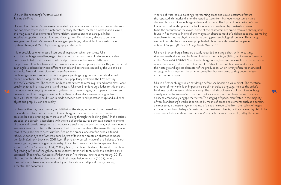A series of watercolour paintings representing props and circus costumes feature the repeated, distinctive diamond-shaped pattern from Harlequin's costume - also discernible in von Brandenburg's videos and curtains. The figure of *commedia dell'arte's* Harlequin itself is also present: a trickster who is considered by theatre historians to be the precursor of the clown. Some of the characters are drawn from old photographs found in flea markets. In one of the images, an abstract motif of a ribbon appears, resembling ectoplasm formed by physical mediums during parapsychological sessions. This strange element can also be a magician's prop. Rolled ribbons are also used in the piece entitled *Orange trifft Blau* / *Orange Meets Blue* (2015).

Ulla von Brandenburg's films are usually recorded in a single shot, with no cutting. A similar method was used by Alfred Hitchcock in *The Rope* (1948) or Alexander Sokurov in the *Russian Ark* (2002). Von Brandenburg's works, however, resemble a documentation of a performance, rather than a feature film. A black-and-white image underlines the nostalgic and ageless character of the production, which is very often reconstructed on stage or in an interior. The artist often utilizes her own voice to sing poems written in her mother tongue.

Ulla von Brandenburg studied set design before she became a visual artist. The theatrical character of her works is an important part of her artistic language, next to the artist's fondness for illusionism and the uncanny. The multidisciplinary art of von Brandenburg, ability to emotionally engage the viewer. The staging of space, manifested in the majority of von Brandenburg's works, is achieved by means of props and elements such as a curtain, a circus tent, a theatre stage, or the use of a specific repertoire from the realms of magic and circus, such as Harlequin's costume, the theatre of objects, or the shadow play. All of the above constitute a certain *Theatrum mundi* in which the main role is played by the viewer.

34 *Same tradition while arranging her works in galleries, on theater stages, or in open air. She often**Shepper and the uncanny. The multidisciplinary art of yon Brandenburg,* **and the** *presents the filmed images as elem* Such living images – reconstructions of genre paintings by groups of specially dressed models or actors – have a long tradition. Their popularity peaked in the 19th century and the Victorian era. The scenes, in which actors were to remain quiet and motionless, were usually enacted in private ateliers and theaters. Ulla von Brandenburg alludes to this ancient tradition while arranging her works in galleries, on theater stages, or in open air. She often presents the filmed images as elements of theatrical installations resembling fantastic *mise-en-scènes*, where no division is made between actor and spectator, stage and audience, object and prop, illusion and reality.

Ulla von Brandenburg's *Theatrum Mundi* Joanna Zielińska

Ulla von Brandenburg's universe is populated by characters and motifs from various times – one can trace references to nineteenth-century literature, theater, psychoanalysis, circus, and magic, as well as elements of romanticism, expressionism or baroque. In her installations, performances, films, and drawings, von Brandenburg alludes to Johann Wolfgang von Goethe's œuvres, Caravaggio's paintings, Edgar Allan Poe's texts, John Epstein's films, and Man Ray's photography and objects.

It is impossible to enumerate all sources of inspiration which constitute Ulla von Brandenburg's visual language. Despite her numerous points of reference, it is also unachievable to locate the exact historical provenance of her works. Although the protagonists of her films and performances wear contemporary clothes, they are situated in an ageless balance between different periods and aesthetics, caused by the use of black and white film and the tradition of the *tableau vivant*.

In classical theatre, the illusionary world (that is, the stage) is divided from the real world (the audience) by a curtain. In von Brandenburg's installations, the curtain functions on a similar basis, creating an impression of "walking through the looking glass." In the artist's practice, the curtain is associated with the role of architecture: it conceals certain elements of space and reveals new potential. Because it transforms the environment, it simultaneously enables a sensory contact with the work of art. It sometimes leads the viewer through space, toward the place where events unfold. Behind the drapes, one can find props, a filmed *tableau vivant* or cycles of watercolours. Layers of fabric can create an abstract composition (as in *Kulissen / Sceneries*, 2011, Lyon Biennale). A curtain made of small pieces of cloth sewn together, resembling a traditional quilt, can form an abstract landscape seen from above (*Curtain / Kurtyna III*, 2014, *Nothing Twice*, Cricoteka). Textile is also used to create a flag waving in front of the gallery, or an uncanny patchwork tent, in which a shadow play is screened (*Shadowplay*, Kunstpreis Finkenwerder Prix Airbus, Kunsthaus Hamburg, 2013). The motif of the shadow play recurs also in the installation *Forest III* (2009), where the contours of trees are painted directly on the walls of an elliptical room, creating a theatre-like panorama.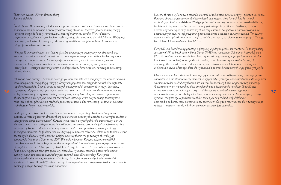Theatrum Mundi *Ulli von Brandenburg Joanna Zielińska*

*Świat Ulli von Brandenburg zaludniony jest przez motywy i postacie z różnych epok. W jej pracach odnaleźć można powiązania z dziewiętnastowieczną literaturą, teatrem, psychoanalizą, magią i cyrkiem, aluzje do kultury romantyzmu, ekspresjonizmu czy baroku. W instalacjach, performansach, filmach i rysunkach artystki pojawiają się nawiązania do dzieł Johanna Wolfganga Goethego, malarstwa Caravaggia, tekstów Edgara Allana Poe, filmów Jeana Epsteina, czy fotografii i obiektów Man Ray'a.*

*Nie sposób wymienić wszystkich inspiracji, które tworzą język artystyczny von Brandenburg. Pomimo mnogości odniesień nie jest też możliwe usytuowanie prac artystki w konkretnej epoce historycznej. Bohaterowie jej filmów i performansów noszą współczesne ubrania, jednak von Brandenburg umieszcza ich w bezczasowym zawieszeniu pomiędzy różnymi okresami i estetykami – stosując konwencję czarno-białego obrazu filmowego czy nawiązując do tradycji*  tableau vivant*.*

*Tak zwane żywe obrazy – tworzone przez grupy ludzi rekonstrukcje kompozycji malarskich i innych scen rodzajowych, mają długą tradycję. Szczyt ich popularności przypada na wiek dziewiętnasty i epokę wiktoriańską. Scenki, podczas których aktorzy musieli pozostawać w ciszy i bezruchu, najchętniej odgrywano w prywatnych atelier oraz teatrach. Ulla von Brandenburg odwołuje się do tej dawnej tradycji używając do tego celu galerii, sceny teatralnej lub pleneru. Sfilmowane obrazy chętnie pokazuje jako element teatralnych instalacji, które przypominają fantastyczne*  mise-en-scène*, gdzie nie ma rozdziału pomiędzy widzem i aktorem, sceną i widownią, obiektem i rekwizytem, iluzją i rzeczywistością.*

*W klasycznym teatrze świat iluzyjny (scena) od świata rzeczywistego (widownia) odgradza kurtyna. W instalacjach von Brandenburg działa ona na podobnych zasadach, stwarzając złudzenie "przejścia na drugą stronę lustra". Kurtyna w twórczości artystki pełni rolę architektury: ukrywa elementy przestrzeni i odkrywa nowe jej możliwości. Zmieniając otoczenie, jednocześnie umożliwia sensoryczny kontakt z dziełem. Niekiedy prowadzi widza przez przestrzeń, wskazując drogę*  do miejsca zdarzenia. Za fałdami tkaniny ukrywają się bowiem rekwizyty, sfilmowane tableau vivant *czy też cykle akwarelowych obrazów. Kolejne warstwy tkanin mogą tworzyć abstrakcyjną kompozycję (*Kulissen / Sceneries*, 2011, Biennale w Lyonie). Kurtyna zszyta z niewielkich kawałków materiału techniką patchworku może przybrać formę abstrakcyjnego pejzażu widzianego z lotu ptaka (*Curtain / Kurtyna III*, 2014,* Nic 2 razy*, Cricoteka). Z materiału powstaje również flaga powiewająca na zewnątrz galerii czy niezwykły, wykonany techniką patchworku namiot cyrkowy, wewnątrz którego wyświetlany jest teatrzyk cieni (*Shadowplay*, Kunstpreis Finkenwerder Prix Airbus, Kunsthaus Hamburg). Estetyka teatru cieni pojawia się również w instalacji* Forest III *(2009), gdzie kontury drzew wymalowane zostają bezpośrednio na ścianach owalnego pokoju, tworząc teatralną panoramę.*

36 hajchętniej odgrywano w prywatnych atelier oraz teatrach. Ulla von Brandenburg odworuje się strzeni obecna w realizacjach artystki dokonuje się za posrednictwem typowych wych artystwa czy obecność specyficznego analytic *Ulla von Brandenburg studiowała scenografię zanim została artystką wizualną. Scenograficzny charakter jej prac stanowi ważny element jej języka artystycznego, obok zamiłowania do iluzjonizmu i niesamowitości. Multidyscyplinarna sztuka von Brandenburg bliska wagnerowskiej koncepcji*  Gesamkunstwerk *ma rzadką zaletę emocjonalnego oddziaływania na widza. Teatralizacja przestrzeni obecna w realizacjach artystki dokonuje się za pośrednictwem typowych cyrkowo-magicznego repertuaru środków, takich jak na przykład strój Arlekina z*  commedia dell'arte*, teatr przedmiotu czy teatr cieni. Cały ten repertuar środków tworzy swego rodzaju* Theatrum mundi*, w którym głównym aktorem jest sam widz.*

*Na serii obrazów wykonanych techniką akwareli widać niesamowite rekwizyty i cyrkowe kostiumy. Powraca charakterystyczny romboidalny deseń pojawiający się w filmach i na kurtynach,*  pochodzący z kostiumu Arlekina. Występuje też postać samego Arlekina z commedia dell'arte, *trickstera, który w historii teatru postrzegany jest jako prototyp klauna. Niektóre postacie przemalowywane są ze zdjęć znalezionych na targu staroci. Na jednym z obrazów wyłania się abstrakcyjny motyw wstęgi przypominający ektoplazmę z seansów spirytystycznych. Ten dziwny element może być też rekwizytem magika. Zwinięte wstęgi są też elementem kompozycji* Orange trifft Blau / Orange Meets Blue *(2015).*

*Filmy Ulli von Brandenburg powstają najczęściej w jednym ujęciu, bez montażu. Podobny zabieg zastosował Alfred Hitchcock w filmie* Sznur *(1948) czy Aleksander Sokurov w* Rosyskiej arce *(2002). Realizacje von Brandenburg bardziej jednak przypominają zapis performance niż film fabularny. Czarno-biały obraz podkreśla nostalgiczny i bezczasowy charakter filmowych produkcji, które bardzo często odtwarzane są na teatralnej scenie lub we wnętrzu. Artystka wielokrotnie używa własnego głosu do wyśpiewania poematów napisanych w jej ojczystym języku.*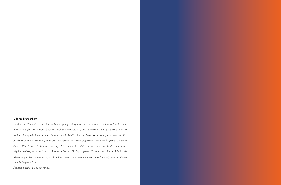# **Ulla von Brandenburg**

*Urodzona w 1974 w Karlsruhe, studiowała scenografię i sztukę mediów na Akademii Sztuk Pięknych w Karlsruhe oraz sztuki piękne na Akademii Sztuk Pięknych w Hamburgu. Jej prace pokazywano na całym świecie, m.in. na wystawach indywidualnych w Power Plant w Toronto (2016), Muzeum Sztuki Współczesnej w St. Louis (2015), pawilonie Secesji w Wiedniu (2013) oraz znaczących wystawach grupowych, takich jak Performa w Nowym Jorku (2015, 2007), 19. Biennale w Sydney (2014), Triennale w Palais de Tokyo w Paryżu (2012) oraz na 53. Międzynarodowej Wystawie Sztuki – Biennale w Wenecji (2009). Wystawa Orange Meets Blue w Galerii Kasia Michalski, powstała we współpracy z galerią Pilar Corrias z Londynu, jest pierwszą wystawą indywidualną Ulli von Brandenburg w Polsce.* 

*Artystka mieszka i pracuje w Paryżu.*